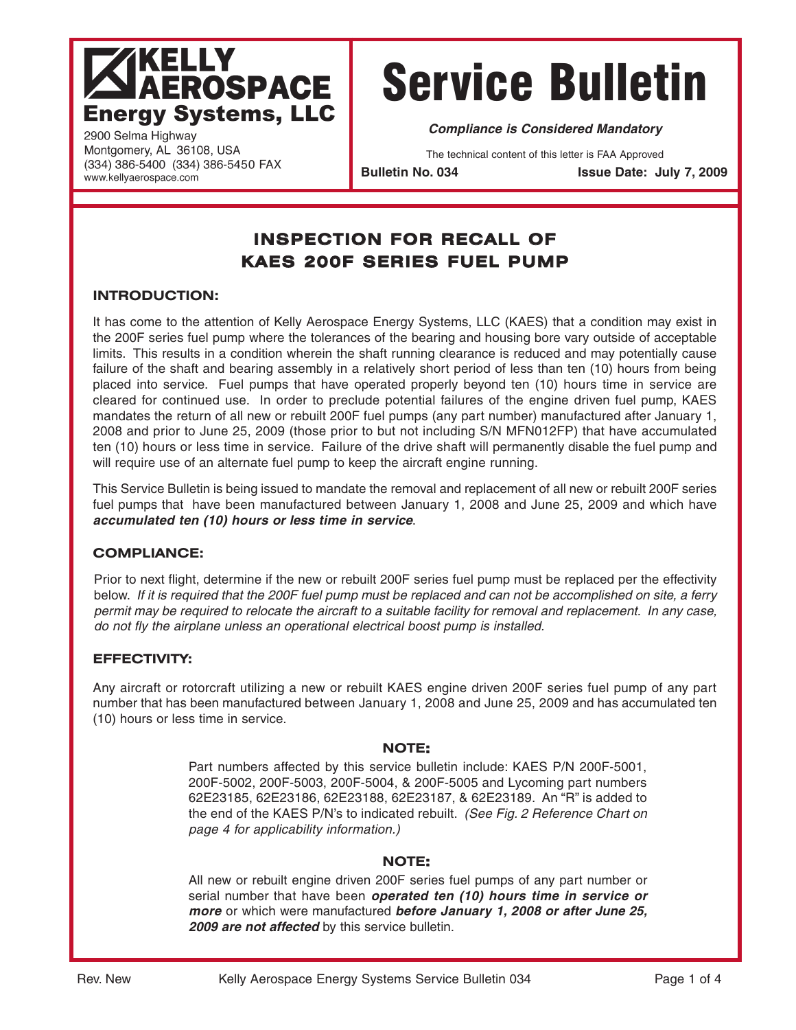## **KELLY AEROSPACE Energy Systems, LLC**

# Service Bulletin

**Compliance is Considered Mandatory**

The technical content of this letter is FAA Approved

**Bulletin No. 034 Issue Date: July 7, 2009**

### **INSPECTION FOR RECALL OF KAES 200F SERIES FUEL PUMP**

#### **INTRODUCTION:**

2900 Selma Highway Montgomery, AL 36108, USA (334) 386-5400 (334) 386-5450 FAX

www.kellyaerospace.com

It has come to the attention of Kelly Aerospace Energy Systems, LLC (KAES) that a condition may exist in the 200F series fuel pump where the tolerances of the bearing and housing bore vary outside of acceptable limits. This results in a condition wherein the shaft running clearance is reduced and may potentially cause failure of the shaft and bearing assembly in a relatively short period of less than ten (10) hours from being placed into service. Fuel pumps that have operated properly beyond ten (10) hours time in service are cleared for continued use. In order to preclude potential failures of the engine driven fuel pump, KAES mandates the return of all new or rebuilt 200F fuel pumps (any part number) manufactured after January 1, 2008 and prior to June 25, 2009 (those prior to but not including S/N MFN012FP) that have accumulated ten (10) hours or less time in service. Failure of the drive shaft will permanently disable the fuel pump and will require use of an alternate fuel pump to keep the aircraft engine running.

This Service Bulletin is being issued to mandate the removal and replacement of all new or rebuilt 200F series fuel pumps that have been manufactured between January 1, 2008 and June 25, 2009 and which have **accumulated ten (10) hours or less time in service**.

#### **COMPLIANCE:**

Prior to next flight, determine if the new or rebuilt 200F series fuel pump must be replaced per the effectivity below. If it is required that the 200F fuel pump must be replaced and can not be accomplished on site, a ferry permit may be required to relocate the aircraft to a suitable facility for removal and replacement. In any case, do not fly the airplane unless an operational electrical boost pump is installed.

#### **EFFECTIVITY:**

Any aircraft or rotorcraft utilizing a new or rebuilt KAES engine driven 200F series fuel pump of any part number that has been manufactured between January 1, 2008 and June 25, 2009 and has accumulated ten (10) hours or less time in service.

#### **NOTE:**

Part numbers affected by this service bulletin include: KAES P/N 200F-5001, 200F-5002, 200F-5003, 200F-5004, & 200F-5005 and Lycoming part numbers 62E23185, 62E23186, 62E23188, 62E23187, & 62E23189. An "R" is added to the end of the KAES P/N's to indicated rebuilt. (See Fig. 2 Reference Chart on page 4 for applicability information.)

#### **NOTE:**

All new or rebuilt engine driven 200F series fuel pumps of any part number or serial number that have been **operated ten (10) hours time in service or more** or which were manufactured **before January 1, 2008 or after June 25, 2009 are not affected** by this service bulletin.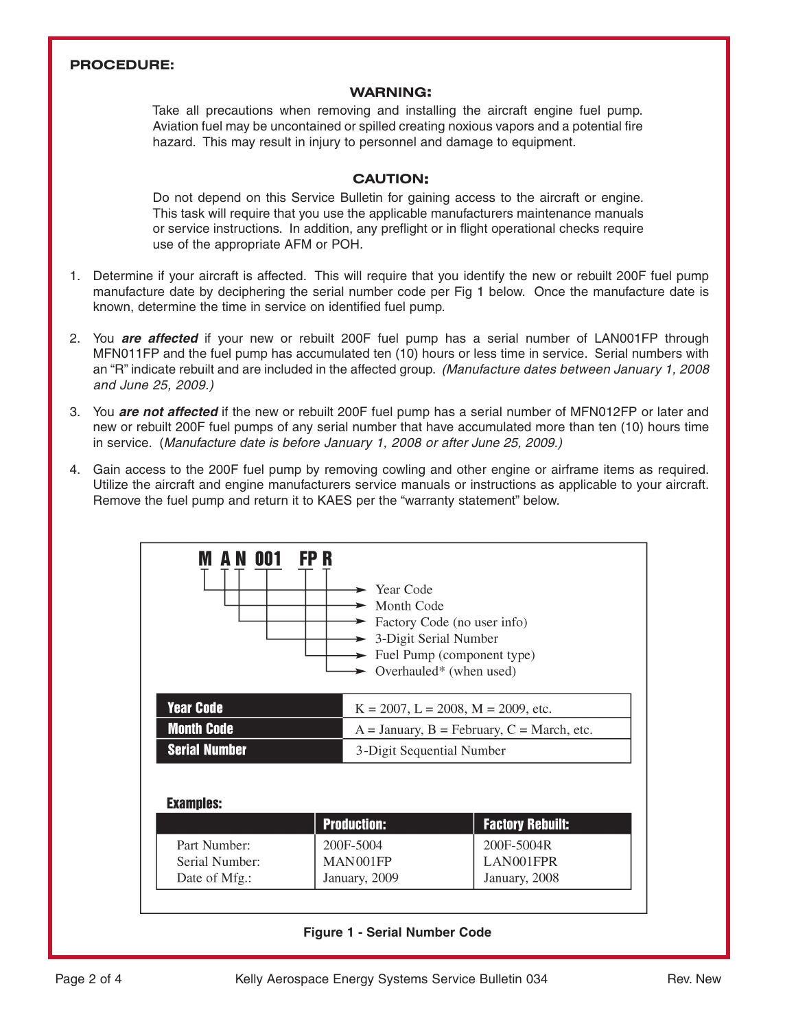#### **PROCEDURE:**

#### **WARNING:**

Take all precautions when removing and installing the aircraft engine fuel pump. Aviation fuel may be uncontained or spilled creating noxious vapors and a potential fire hazard. This may result in injury to personnel and damage to equipment.

#### **CAUTION:**

Do not depend on this Service Bulletin for gaining access to the aircraft or engine. This task will require that you use the applicable manufacturers maintenance manuals or service instructions. In addition, any preflight or in flight operational checks require use of the appropriate AFM or POH.

- 1. Determine if your aircraft is affected. This will require that you identify the new or rebuilt 200F fuel pump manufacture date by deciphering the serial number code per Fig 1 below. Once the manufacture date is known, determine the time in service on identified fuel pump.
- 2. You **are affected** if your new or rebuilt 200F fuel pump has a serial number of LAN001FP through MFN011FP and the fuel pump has accumulated ten (10) hours or less time in service. Serial numbers with an "R" indicate rebuilt and are included in the affected group. (Manufacture dates between January 1, 2008 and June 25, 2009.)
- 3. You **are not affected** if the new or rebuilt 200F fuel pump has a serial number of MFN012FP or later and new or rebuilt 200F fuel pumps of any serial number that have accumulated more than ten (10) hours time in service. (Manufacture date is before January 1, 2008 or after June 25, 2009.)
- 4. Gain access to the 200F fuel pump by removing cowling and other engine or airframe items as required. Utilize the aircraft and engine manufacturers service manuals or instructions as applicable to your aircraft. Remove the fuel pump and return it to KAES per the "warranty statement" below.



#### **Figure 1 - Serial Number Code**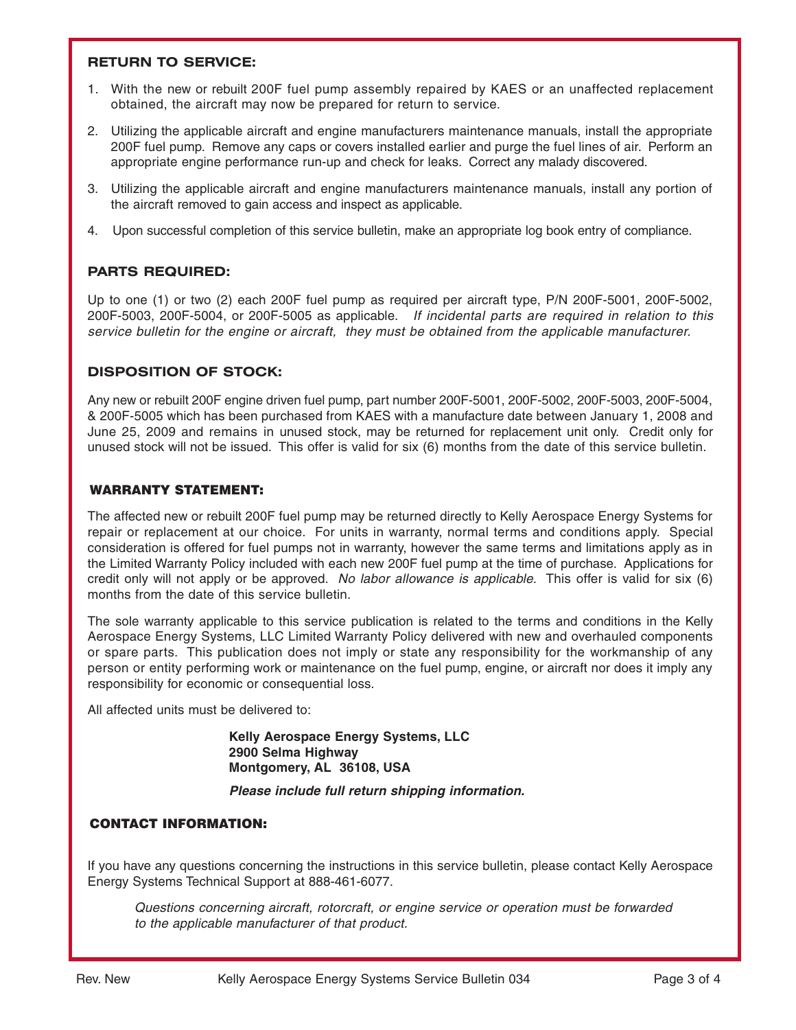#### **RETURN TO SERVICE:**

- 1. With the new or rebuilt 200F fuel pump assembly repaired by KAES or an unaffected replacement obtained, the aircraft may now be prepared for return to service.
- 2. Utilizing the applicable aircraft and engine manufacturers maintenance manuals, install the appropriate 200F fuel pump. Remove any caps or covers installed earlier and purge the fuel lines of air. Perform an appropriate engine performance run-up and check for leaks. Correct any malady discovered.
- 3. Utilizing the applicable aircraft and engine manufacturers maintenance manuals, install any portion of the aircraft removed to gain access and inspect as applicable.
- 4. Upon successful completion of this service bulletin, make an appropriate log book entry of compliance.

#### **PARTS REQUIRED:**

Up to one (1) or two (2) each 200F fuel pump as required per aircraft type, P/N 200F-5001, 200F-5002, 200F-5003, 200F-5004, or 200F-5005 as applicable. If incidental parts are required in relation to this service bulletin for the engine or aircraft, they must be obtained from the applicable manufacturer.

#### **DISPOSITION OF STOCK:**

Any new or rebuilt 200F engine driven fuel pump, part number 200F-5001, 200F-5002, 200F-5003, 200F-5004, & 200F-5005 which has been purchased from KAES with a manufacture date between January 1, 2008 and June 25, 2009 and remains in unused stock, may be returned for replacement unit only. Credit only for unused stock will not be issued. This offer is valid for six (6) months from the date of this service bulletin.

#### WARRANTY STATEMENT:

The affected new or rebuilt 200F fuel pump may be returned directly to Kelly Aerospace Energy Systems for repair or replacement at our choice. For units in warranty, normal terms and conditions apply. Special consideration is offered for fuel pumps not in warranty, however the same terms and limitations apply as in the Limited Warranty Policy included with each new 200F fuel pump at the time of purchase. Applications for credit only will not apply or be approved. No labor allowance is applicable. This offer is valid for six (6) months from the date of this service bulletin.

The sole warranty applicable to this service publication is related to the terms and conditions in the Kelly Aerospace Energy Systems, LLC Limited Warranty Policy delivered with new and overhauled components or spare parts. This publication does not imply or state any responsibility for the workmanship of any person or entity performing work or maintenance on the fuel pump, engine, or aircraft nor does it imply any responsibility for economic or consequential loss.

All affected units must be delivered to:

**Kelly Aerospace Energy Systems, LLC 2900 Selma Highway Montgomery, AL 36108, USA**

**Please include full return shipping information.**

#### CONTACT INFORMATION:

If you have any questions concerning the instructions in this service bulletin, please contact Kelly Aerospace Energy Systems Technical Support at 888-461-6077.

Questions concerning aircraft, rotorcraft, or engine service or operation must be forwarded to the applicable manufacturer of that product.